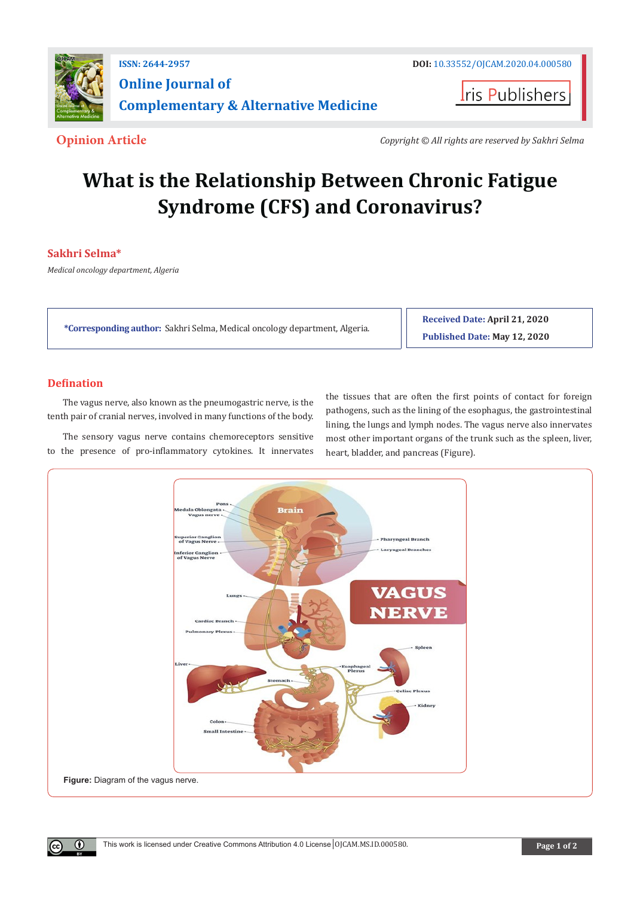

**I**ris Publishers

**Opinion Article** *Copyright © All rights are reserved by Sakhri Selma*

# **What is the Relationship Between Chronic Fatigue Syndrome (CFS) and Coronavirus?**

# **Sakhri Selma\***

*Medical oncology department, Algeria*

**\*Corresponding author:** Sakhri Selma, Medical oncology department, Algeria.

**Received Date: April 21, 2020 Published Date: May 12, 2020**

## **Defination**

 $(\cdot)$ 

The vagus nerve, also known as the pneumogastric nerve, is the tenth pair of cranial nerves, involved in many functions of the body.

The sensory vagus nerve contains chemoreceptors sensitive to the presence of pro-inflammatory cytokines. It innervates

the tissues that are often the first points of contact for foreign pathogens, such as the lining of the esophagus, the gastrointestinal lining, the lungs and lymph nodes. The vagus nerve also innervates most other important organs of the trunk such as the spleen, liver, heart, bladder, and pancreas (Figure).